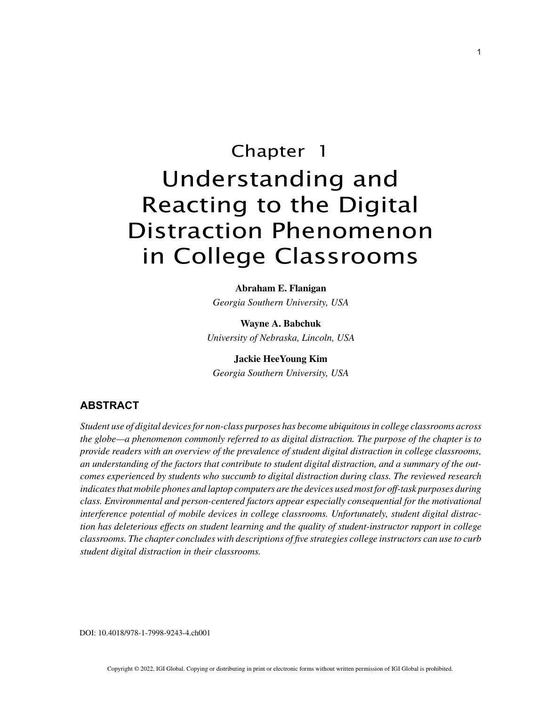# Chapter 1 Understanding and Reacting to the Digital Distraction Phenomenon in College Classrooms

**Abraham E. Flanigan** *Georgia Southern University, USA*

**Wayne A. Babchuk** *University of Nebraska, Lincoln, USA*

**Jackie HeeYoung Kim** *Georgia Southern University, USA*

# **ABSTRACT**

*Student use of digital devices for non-class purposes has become ubiquitous in college classrooms across the globe—a phenomenon commonly referred to as digital distraction. The purpose of the chapter is to provide readers with an overview of the prevalence of student digital distraction in college classrooms, an understanding of the factors that contribute to student digital distraction, and a summary of the outcomes experienced by students who succumb to digital distraction during class. The reviewed research indicates that mobile phones and laptop computers are the devices used most for off-task purposes during class. Environmental and person-centered factors appear especially consequential for the motivational interference potential of mobile devices in college classrooms. Unfortunately, student digital distraction has deleterious effects on student learning and the quality of student-instructor rapport in college classrooms. The chapter concludes with descriptions of five strategies college instructors can use to curb student digital distraction in their classrooms.*

DOI: 10.4018/978-1-7998-9243-4.ch001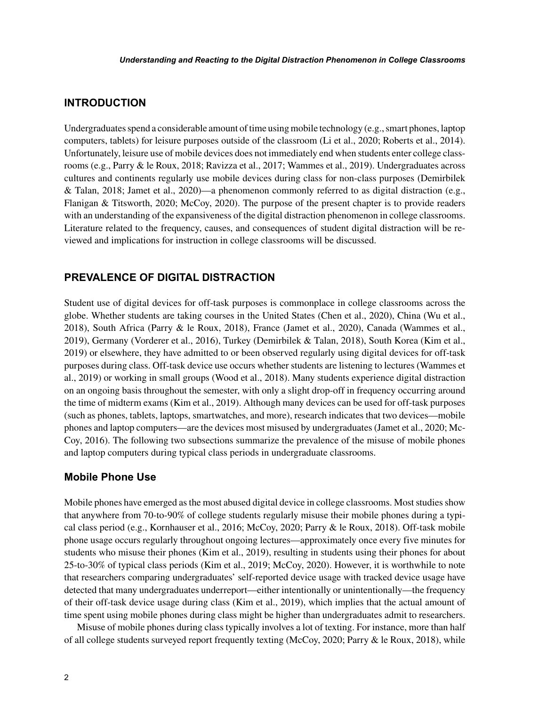## **INTRODUCTION**

Undergraduates spend a considerable amount of time using mobile technology (e.g., smart phones, laptop computers, tablets) for leisure purposes outside of the classroom (Li et al., 2020; Roberts et al., 2014). Unfortunately, leisure use of mobile devices does not immediately end when students enter college classrooms (e.g., Parry & le Roux, 2018; Ravizza et al., 2017; Wammes et al., 2019). Undergraduates across cultures and continents regularly use mobile devices during class for non-class purposes (Demirbilek & Talan, 2018; Jamet et al., 2020)—a phenomenon commonly referred to as digital distraction (e.g., Flanigan & Titsworth, 2020; McCoy, 2020). The purpose of the present chapter is to provide readers with an understanding of the expansiveness of the digital distraction phenomenon in college classrooms. Literature related to the frequency, causes, and consequences of student digital distraction will be reviewed and implications for instruction in college classrooms will be discussed.

## **PREVALENCE OF DIGITAL DISTRACTION**

Student use of digital devices for off-task purposes is commonplace in college classrooms across the globe. Whether students are taking courses in the United States (Chen et al., 2020), China (Wu et al., 2018), South Africa (Parry & le Roux, 2018), France (Jamet et al., 2020), Canada (Wammes et al., 2019), Germany (Vorderer et al., 2016), Turkey (Demirbilek & Talan, 2018), South Korea (Kim et al., 2019) or elsewhere, they have admitted to or been observed regularly using digital devices for off-task purposes during class. Off-task device use occurs whether students are listening to lectures (Wammes et al., 2019) or working in small groups (Wood et al., 2018). Many students experience digital distraction on an ongoing basis throughout the semester, with only a slight drop-off in frequency occurring around the time of midterm exams (Kim et al., 2019). Although many devices can be used for off-task purposes (such as phones, tablets, laptops, smartwatches, and more), research indicates that two devices—mobile phones and laptop computers—are the devices most misused by undergraduates (Jamet et al., 2020; Mc-Coy, 2016). The following two subsections summarize the prevalence of the misuse of mobile phones and laptop computers during typical class periods in undergraduate classrooms.

## **Mobile Phone Use**

Mobile phones have emerged as the most abused digital device in college classrooms. Most studies show that anywhere from 70-to-90% of college students regularly misuse their mobile phones during a typical class period (e.g., Kornhauser et al., 2016; McCoy, 2020; Parry & le Roux, 2018). Off-task mobile phone usage occurs regularly throughout ongoing lectures—approximately once every five minutes for students who misuse their phones (Kim et al., 2019), resulting in students using their phones for about 25-to-30% of typical class periods (Kim et al., 2019; McCoy, 2020). However, it is worthwhile to note that researchers comparing undergraduates' self-reported device usage with tracked device usage have detected that many undergraduates underreport—either intentionally or unintentionally—the frequency of their off-task device usage during class (Kim et al., 2019), which implies that the actual amount of time spent using mobile phones during class might be higher than undergraduates admit to researchers.

Misuse of mobile phones during class typically involves a lot of texting. For instance, more than half of all college students surveyed report frequently texting (McCoy, 2020; Parry & le Roux, 2018), while